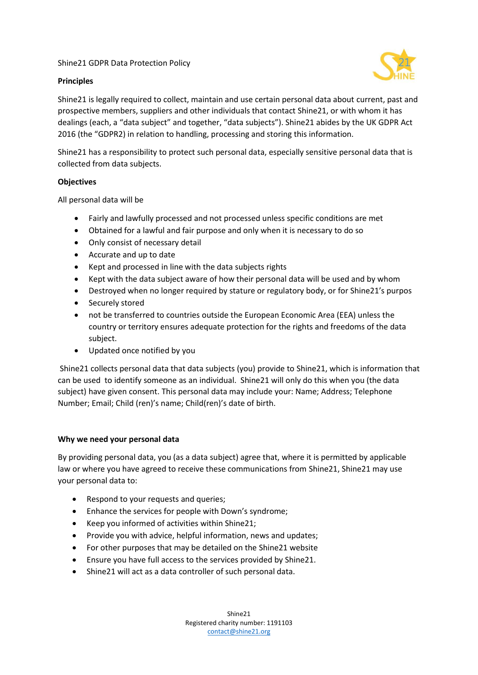## Shine21 GDPR Data Protection Policy

## **Principles**



Shine21 is legally required to collect, maintain and use certain personal data about current, past and prospective members, suppliers and other individuals that contact Shine21, or with whom it has dealings (each, a "data subject" and together, "data subjects"). Shine21 abides by the UK GDPR Act 2016 (the "GDPR2) in relation to handling, processing and storing this information.

Shine21 has a responsibility to protect such personal data, especially sensitive personal data that is collected from data subjects.

## **Objectives**

All personal data will be

- Fairly and lawfully processed and not processed unless specific conditions are met
- Obtained for a lawful and fair purpose and only when it is necessary to do so
- Only consist of necessary detail
- Accurate and up to date
- Kept and processed in line with the data subjects rights
- Kept with the data subject aware of how their personal data will be used and by whom
- Destroyed when no longer required by stature or regulatory body, or for Shine21's purpos
- Securely stored
- not be transferred to countries outside the European Economic Area (EEA) unless the country or territory ensures adequate protection for the rights and freedoms of the data subject.
- Updated once notified by you

Shine21 collects personal data that data subjects (you) provide to Shine21, which is information that can be used to identify someone as an individual. Shine21 will only do this when you (the data subject) have given consent. This personal data may include your: Name; Address; Telephone Number; Email; Child (ren)'s name; Child(ren)'s date of birth.

### **Why we need your personal data**

By providing personal data, you (as a data subject) agree that, where it is permitted by applicable law or where you have agreed to receive these communications from Shine21, Shine21 may use your personal data to:

- Respond to your requests and queries;
- Enhance the services for people with Down's syndrome;
- Keep you informed of activities within Shine21;
- Provide you with advice, helpful information, news and updates;
- For other purposes that may be detailed on the Shine21 website
- Ensure you have full access to the services provided by Shine21.
- Shine21 will act as a data controller of such personal data.

Shine21 Registered charity number: 1191103 [contact@shine21.org](mailto:contact@shine21.org)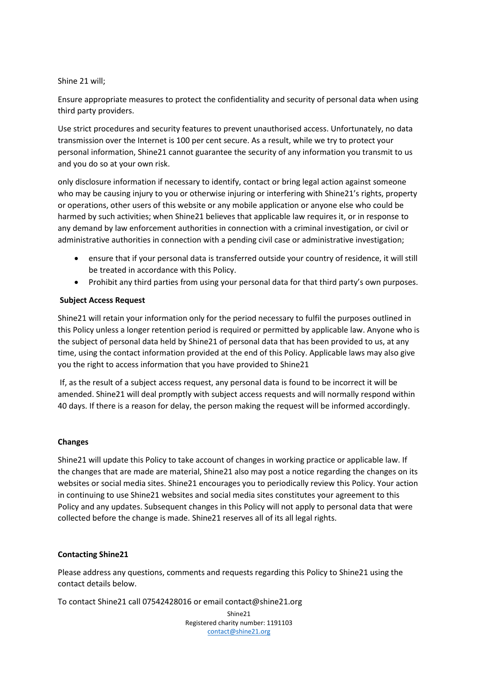### Shine 21 will;

Ensure appropriate measures to protect the confidentiality and security of personal data when using third party providers.

Use strict procedures and security features to prevent unauthorised access. Unfortunately, no data transmission over the Internet is 100 per cent secure. As a result, while we try to protect your personal information, Shine21 cannot guarantee the security of any information you transmit to us and you do so at your own risk.

only disclosure information if necessary to identify, contact or bring legal action against someone who may be causing injury to you or otherwise injuring or interfering with Shine21's rights, property or operations, other users of this website or any mobile application or anyone else who could be harmed by such activities; when Shine21 believes that applicable law requires it, or in response to any demand by law enforcement authorities in connection with a criminal investigation, or civil or administrative authorities in connection with a pending civil case or administrative investigation;

- ensure that if your personal data is transferred outside your country of residence, it will still be treated in accordance with this Policy.
- Prohibit any third parties from using your personal data for that third party's own purposes.

# **Subject Access Request**

Shine21 will retain your information only for the period necessary to fulfil the purposes outlined in this Policy unless a longer retention period is required or permitted by applicable law. Anyone who is the subject of personal data held by Shine21 of personal data that has been provided to us, at any time, using the contact information provided at the end of this Policy. Applicable laws may also give you the right to access information that you have provided to Shine21

If, as the result of a subject access request, any personal data is found to be incorrect it will be amended. Shine21 will deal promptly with subject access requests and will normally respond within 40 days. If there is a reason for delay, the person making the request will be informed accordingly.

### **Changes**

Shine21 will update this Policy to take account of changes in working practice or applicable law. If the changes that are made are material, Shine21 also may post a notice regarding the changes on its websites or social media sites. Shine21 encourages you to periodically review this Policy. Your action in continuing to use Shine21 websites and social media sites constitutes your agreement to this Policy and any updates. Subsequent changes in this Policy will not apply to personal data that were collected before the change is made. Shine21 reserves all of its all legal rights.

# **Contacting Shine21**

Please address any questions, comments and requests regarding this Policy to Shine21 using the contact details below.

To contact Shine21 call 07542428016 or email contact@shine21.org

Shine21 Registered charity number: 1191103 [contact@shine21.org](mailto:contact@shine21.org)